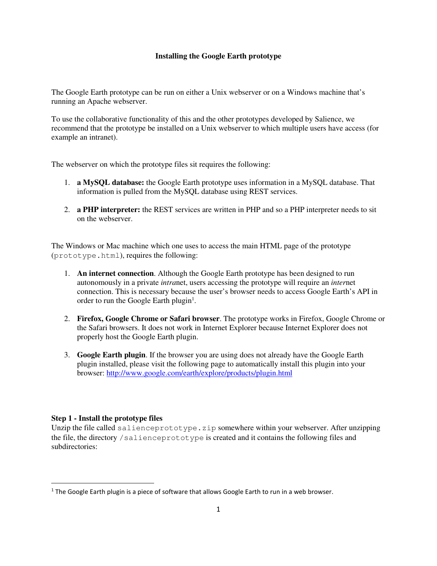# **Installing the Google Earth prototype**

The Google Earth prototype can be run on either a Unix webserver or on a Windows machine that's running an Apache webserver.

To use the collaborative functionality of this and the other prototypes developed by Salience, we recommend that the prototype be installed on a Unix webserver to which multiple users have access (for example an intranet).

The webserver on which the prototype files sit requires the following:

- 1. **a MySQL database:** the Google Earth prototype uses information in a MySQL database. That information is pulled from the MySQL database using REST services.
- 2. **a PHP interpreter:** the REST services are written in PHP and so a PHP interpreter needs to sit on the webserver.

The Windows or Mac machine which one uses to access the main HTML page of the prototype (prototype.html), requires the following:

- 1. **An internet connection**. Although the Google Earth prototype has been designed to run autonomously in a private *intra*net, users accessing the prototype will require an *inter*net connection. This is necessary because the user's browser needs to access Google Earth's API in order to run the Google Earth plugin<sup>1</sup>.
- 2. **Firefox, Google Chrome or Safari browser**. The prototype works in Firefox, Google Chrome or the Safari browsers. It does not work in Internet Explorer because Internet Explorer does not properly host the Google Earth plugin.
- 3. **Google Earth plugin**. If the browser you are using does not already have the Google Earth plugin installed, please visit the following page to automatically install this plugin into your browser: http://www.google.com/earth/explore/products/plugin.html

# **Step 1 - Install the prototype files**

<u>.</u>

Unzip the file called salienceprototype.zip somewhere within your webserver. After unzipping the file, the directory /salienceprototype is created and it contains the following files and subdirectories:

 $<sup>1</sup>$  The Google Earth plugin is a piece of software that allows Google Earth to run in a web browser.</sup>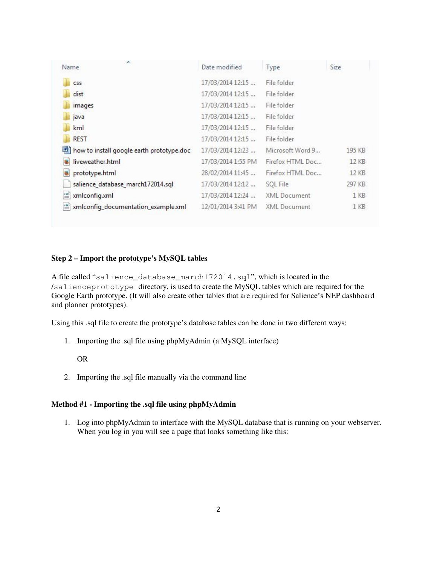| A.<br>Name                                | Date modified      | Type             | Size   |
|-------------------------------------------|--------------------|------------------|--------|
| C <sub>55</sub>                           | 17/03/2014 12:15   | File folder      |        |
| dist                                      | 17/03/2014 12:15   | File folder      |        |
| images                                    | 17/03/2014 12:15   | File folder      |        |
| java                                      | 17/03/2014 12:15   | File folder      |        |
| kml                                       | 17/03/2014 12:15   | File folder      |        |
| <b>REST</b>                               | 17/03/2014 12:15   | File folder      |        |
| how to install google earth prototype.doc | 17/03/2014 12:23   | Microsoft Word 9 | 195 KB |
| liveweather.html                          | 17/03/2014 1:55 PM | Firefox HTML Doc | 12 KB  |
| prototype.html                            | 28/02/2014 11:45   | Firefox HTML Doc | 12 KB  |
| salience_database_march172014.sql         | 17/03/2014 12:12   | SOL File         | 297 KB |
| <u>es</u><br>xmlconfig.xml                | 17/03/2014 12:24   | XML Document     | $1$ KB |
| xmlconfig_documentation_example.xml<br>警  | 12/01/2014 3:41 PM | XML Document     | 1 KB   |

# **Step 2 – Import the prototype's MySQL tables**

A file called "salience\_database\_march172014.sql", which is located in the /salienceprototype directory, is used to create the MySQL tables which are required for the Google Earth prototype. (It will also create other tables that are required for Salience's NEP dashboard and planner prototypes).

Using this .sql file to create the prototype's database tables can be done in two different ways:

1. Importing the .sql file using phpMyAdmin (a MySQL interface)

OR

2. Importing the .sql file manually via the command line

### **Method #1 - Importing the .sql file using phpMyAdmin**

1. Log into phpMyAdmin to interface with the MySQL database that is running on your webserver. When you log in you will see a page that looks something like this: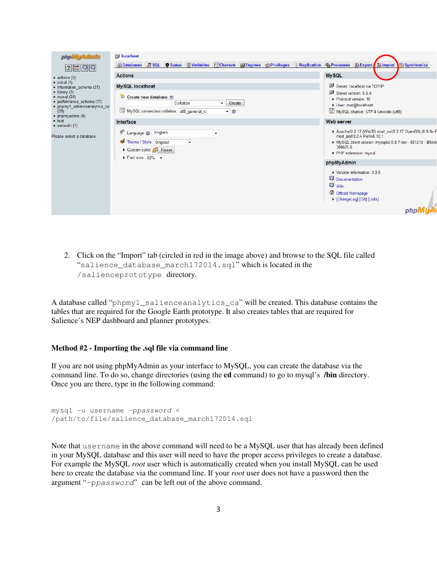| phpivityAdmin                                                                                                                                                                                                                                                                                                                                                                         | <b>B</b> localhost                                                                                                                                         |                                                                                                                                                                                         |
|---------------------------------------------------------------------------------------------------------------------------------------------------------------------------------------------------------------------------------------------------------------------------------------------------------------------------------------------------------------------------------------|------------------------------------------------------------------------------------------------------------------------------------------------------------|-----------------------------------------------------------------------------------------------------------------------------------------------------------------------------------------|
| <b>B</b> Databases<br>  4    5    1    1    1    1    1   <br><b>Actions</b><br>$\bullet$ airforce $(2)$<br>$\bullet$ cdcol (1)<br>· information schema (37)<br>$\bullet$ library (3)<br>$\bullet$ mysql (24)<br>· performance schema (17)<br>· phpmy1_salienceanalytics_ca<br>(39)<br>· phpmyadmin (8)<br>• test<br>Interface<br>$\bullet$ webauth $(1)$<br>Please select a database | <b>SQL Tistatus SVariables ExCharsets Milengines SPrivileges</b><br><b>Replication</b>                                                                     | % Processes @ Export @ Import<br>Synchronize                                                                                                                                            |
|                                                                                                                                                                                                                                                                                                                                                                                       |                                                                                                                                                            | <b>MySQL</b>                                                                                                                                                                            |
|                                                                                                                                                                                                                                                                                                                                                                                       | <b>MySQL localhost</b><br>Create new database ?<br>Collation<br>Create<br>$\overline{\phantom{a}}$<br>MySQL connection collation: utf8_general_ci<br>$- 0$ | Server: localhost via TCP/IP<br>Server version: 5.5.8<br>Protocol version: 10<br>User: root@localhost<br>MySQL charset: UTF-8 Unicode (utf8)                                            |
|                                                                                                                                                                                                                                                                                                                                                                                       |                                                                                                                                                            | Web server                                                                                                                                                                              |
|                                                                                                                                                                                                                                                                                                                                                                                       | S Language (D: English<br>Theme / Style: Original<br>$\overline{\phantom{a}}$<br>Custom color: Reset<br>$\triangleright$ Font size: 82% $\triangleright$   | Apache/2.2.17 (Win32) mod ssl/2.2.17 OpenSSL/0.9.8o F<br>mod_perl/2.0.4 Perl/v5.10.1<br>MySQL client version: mysqlnd 5.0.7-dev - 091210 - \$Revis<br>304625 \$<br>PHP extension: mysql |
|                                                                                                                                                                                                                                                                                                                                                                                       |                                                                                                                                                            | phpMyAdmin                                                                                                                                                                              |
|                                                                                                                                                                                                                                                                                                                                                                                       |                                                                                                                                                            | Version information: 3.3.9<br>Documentation<br><b>Wiki</b><br>Official Homepage<br>ChangeLog] [Git] [Lists]                                                                             |
|                                                                                                                                                                                                                                                                                                                                                                                       |                                                                                                                                                            |                                                                                                                                                                                         |

2. Click on the "Import" tab (circled in red in the image above) and browse to the SQL file called "salience\_database\_march172014.sql" which is located in the /salienceprototype directory.

A database called "phpmy1\_salienceanalytics\_ca" will be created. This database contains the tables that are required for the Google Earth prototype. It also creates tables that are required for Salience's NEP dashboard and planner prototypes.

# **Method #2 - Importing the .sql file via command line**

If you are not using phpMyAdmin as your interface to MySQL, you can create the database via the command line. To do so, change directories (using the **cd** command) to go to mysql's **/bin** directory. Once you are there, type in the following command:

```
mysql -u username -ppassword < 
/path/to/file/salience_database_march172014.sql
```
Note that username in the above command will need to be a MySQL user that has already been defined in your MySQL database and this user will need to have the proper access privileges to create a database. For example the MySQL *root* user which is automatically created when you install MySQL can be used here to create the database via the command line. If your *root* user does not have a password then the argument "–ppassword" can be left out of the above command.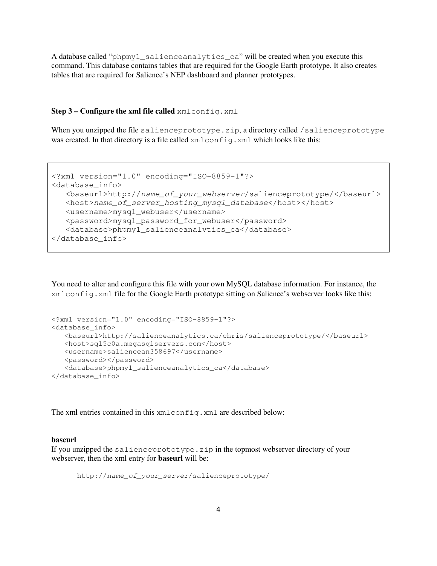A database called "phpmy1\_salienceanalytics\_ca" will be created when you execute this command. This database contains tables that are required for the Google Earth prototype. It also creates tables that are required for Salience's NEP dashboard and planner prototypes.

#### **Step 3 – Configure the xml file called** xmlconfig.xml

When you unzipped the file salienceprototype.zip, a directory called /salienceprototype was created. In that directory is a file called  $xm$ l config.xml which looks like this:

```
<?xml version="1.0" encoding="ISO-8859-1"?> 
<database_info> 
    <baseurl>http://name_of_your_webserver/salienceprototype/</baseurl> 
    <host>name_of_server_hosting_mysql_database</host></host> 
    <username>mysql_webuser</username> 
    <password>mysql_password_for_webuser</password> 
    <database>phpmy1_salienceanalytics_ca</database>
</database_info>
```
You need to alter and configure this file with your own MySQL database information. For instance, the xmlconfig.xml file for the Google Earth prototype sitting on Salience's webserver looks like this:

```
<?xml version="1.0" encoding="ISO-8859-1"?> 
<database_info> 
    <baseurl>http://salienceanalytics.ca/chris/salienceprototype/</baseurl> 
    <host>sql5c0a.megasqlservers.com</host> 
    <username>saliencean358697</username> 
    <password></password> 
    <database>phpmy1_salienceanalytics_ca</database>
</database_info>
```
The xml entries contained in this xml config.xml are described below:

#### **baseurl**

If you unzipped the salienceprototype.zip in the topmost webserver directory of your webserver, then the xml entry for **baseurl** will be:

http://name\_of\_your\_server/salienceprototype/